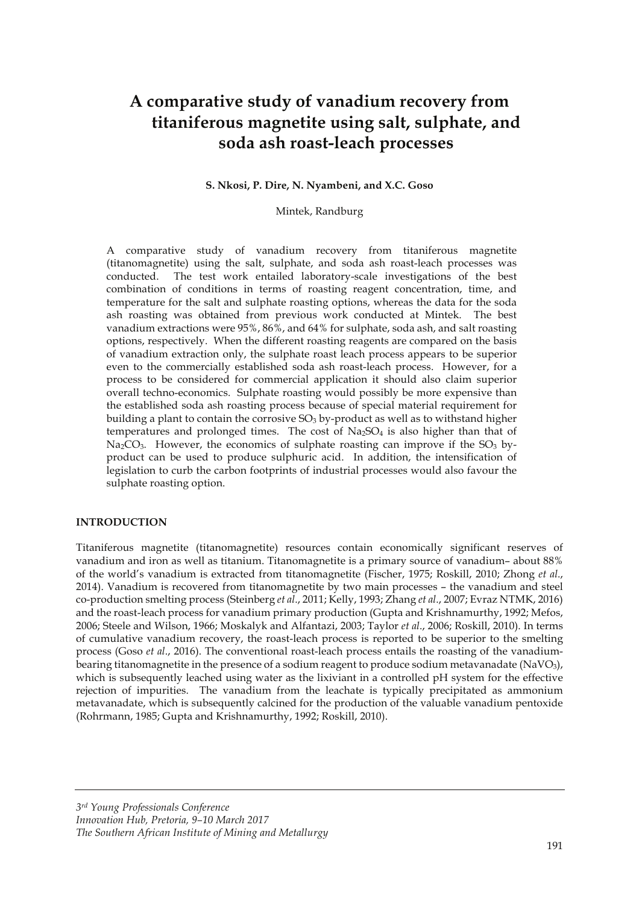# **A comparative study of vanadium recovery from titaniferous magnetite using salt, sulphate, and soda ash roast-leach processes**

#### **S. Nkosi, P. Dire, N. Nyambeni, and X.C. Goso**

#### Mintek, Randburg

A comparative study of vanadium recovery from titaniferous magnetite (titanomagnetite) using the salt, sulphate, and soda ash roast-leach processes was conducted. The test work entailed laboratory-scale investigations of the best combination of conditions in terms of roasting reagent concentration, time, and temperature for the salt and sulphate roasting options, whereas the data for the soda ash roasting was obtained from previous work conducted at Mintek. The best vanadium extractions were 95%, 86%, and 64% for sulphate, soda ash, and salt roasting options, respectively. When the different roasting reagents are compared on the basis of vanadium extraction only, the sulphate roast leach process appears to be superior even to the commercially established soda ash roast-leach process. However, for a process to be considered for commercial application it should also claim superior overall techno-economics. Sulphate roasting would possibly be more expensive than the established soda ash roasting process because of special material requirement for building a plant to contain the corrosive  $SO<sub>3</sub>$  by-product as well as to withstand higher temperatures and prolonged times. The cost of  $Na<sub>2</sub>SO<sub>4</sub>$  is also higher than that of  $Na<sub>2</sub>CO<sub>3</sub>$ . However, the economics of sulphate roasting can improve if the SO<sub>3</sub> byproduct can be used to produce sulphuric acid. In addition, the intensification of legislation to curb the carbon footprints of industrial processes would also favour the sulphate roasting option.

## **INTRODUCTION**

Titaniferous magnetite (titanomagnetite) resources contain economically significant reserves of vanadium and iron as well as titanium. Titanomagnetite is a primary source of vanadium– about 88% of the world's vanadium is extracted from titanomagnetite (Fischer, 1975; Roskill, 2010; Zhong *et al*., 2014). Vanadium is recovered from titanomagnetite by two main processes – the vanadium and steel co-production smelting process (Steinberg *et al*., 2011; Kelly, 1993; Zhang *et al*., 2007; Evraz NTMK, 2016) and the roast-leach process for vanadium primary production (Gupta and Krishnamurthy, 1992; Mefos, 2006; Steele and Wilson, 1966; Moskalyk and Alfantazi, 2003; Taylor *et al*., 2006; Roskill, 2010). In terms of cumulative vanadium recovery, the roast-leach process is reported to be superior to the smelting process (Goso *et al*., 2016). The conventional roast-leach process entails the roasting of the vanadiumbearing titanomagnetite in the presence of a sodium reagent to produce sodium metavanadate (NaVO<sub>3</sub>), which is subsequently leached using water as the lixiviant in a controlled pH system for the effective rejection of impurities. The vanadium from the leachate is typically precipitated as ammonium metavanadate, which is subsequently calcined for the production of the valuable vanadium pentoxide (Rohrmann, 1985; Gupta and Krishnamurthy, 1992; Roskill, 2010).

*3rd Young Professionals Conference Innovation Hub, Pretoria, 9–10 March 2017 The Southern African Institute of Mining and Metallurgy*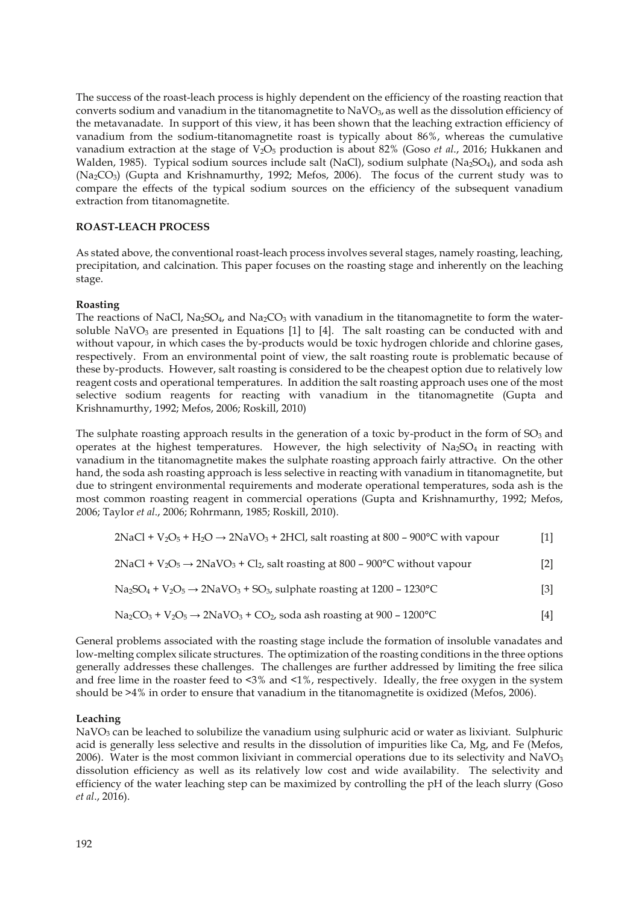The success of the roast-leach process is highly dependent on the efficiency of the roasting reaction that converts sodium and vanadium in the titanomagnetite to NaVO<sub>3</sub>, as well as the dissolution efficiency of the metavanadate. In support of this view, it has been shown that the leaching extraction efficiency of vanadium from the sodium-titanomagnetite roast is typically about 86%, whereas the cumulative vanadium extraction at the stage of V2O5 production is about 82% (Goso *et al*., 2016; Hukkanen and Walden, 1985). Typical sodium sources include salt (NaCl), sodium sulphate (Na<sub>2</sub>SO<sub>4</sub>), and soda ash (Na2CO3) (Gupta and Krishnamurthy, 1992; Mefos, 2006). The focus of the current study was to compare the effects of the typical sodium sources on the efficiency of the subsequent vanadium extraction from titanomagnetite.

## **ROAST-LEACH PROCESS**

As stated above, the conventional roast-leach process involves several stages, namely roasting, leaching, precipitation, and calcination. This paper focuses on the roasting stage and inherently on the leaching stage.

#### **Roasting**

The reactions of NaCl, Na<sub>2</sub>SO<sub>4</sub>, and Na<sub>2</sub>CO<sub>3</sub> with vanadium in the titanomagnetite to form the watersoluble NaVO<sub>3</sub> are presented in Equations  $[1]$  to  $[4]$ . The salt roasting can be conducted with and without vapour, in which cases the by-products would be toxic hydrogen chloride and chlorine gases, respectively. From an environmental point of view, the salt roasting route is problematic because of these by-products. However, salt roasting is considered to be the cheapest option due to relatively low reagent costs and operational temperatures. In addition the salt roasting approach uses one of the most selective sodium reagents for reacting with vanadium in the titanomagnetite (Gupta and Krishnamurthy, 1992; Mefos, 2006; Roskill, 2010)

The sulphate roasting approach results in the generation of a toxic by-product in the form of SO<sub>3</sub> and operates at the highest temperatures. However, the high selectivity of Na<sub>2</sub>SO<sub>4</sub> in reacting with vanadium in the titanomagnetite makes the sulphate roasting approach fairly attractive. On the other hand, the soda ash roasting approach is less selective in reacting with vanadium in titanomagnetite, but due to stringent environmental requirements and moderate operational temperatures, soda ash is the most common roasting reagent in commercial operations (Gupta and Krishnamurthy, 1992; Mefos, 2006; Taylor *et al*., 2006; Rohrmann, 1985; Roskill, 2010).

$$
2NaCl + V2O5 + H2O \rightarrow 2NaVO3 + 2HCl, salt roasting at 800 - 900°C with vapour [1]
$$

$$
2NaCl + V2O5 \rightarrow 2NaVO3 + Cl2, salt roasting at 800 - 900°C without vapour [2]
$$

$$
Na2SO4 + V2O5 \rightarrow 2NaVO3 + SO3, sulphate roasting at 1200 - 1230°C
$$
 [3]

$$
Na2CO3 + V2O5 \rightarrow 2NaVO3 + CO2, soda ash roasting at 900 - 1200°C
$$
 [4]

General problems associated with the roasting stage include the formation of insoluble vanadates and low-melting complex silicate structures. The optimization of the roasting conditions in the three options generally addresses these challenges. The challenges are further addressed by limiting the free silica and free lime in the roaster feed to <3% and <1%, respectively. Ideally, the free oxygen in the system should be >4% in order to ensure that vanadium in the titanomagnetite is oxidized (Mefos, 2006).

#### **Leaching**

NaVO<sub>3</sub> can be leached to solubilize the vanadium using sulphuric acid or water as lixiviant. Sulphuric acid is generally less selective and results in the dissolution of impurities like Ca, Mg, and Fe (Mefos, 2006). Water is the most common lixiviant in commercial operations due to its selectivity and  $NaVO<sub>3</sub>$ dissolution efficiency as well as its relatively low cost and wide availability. The selectivity and efficiency of the water leaching step can be maximized by controlling the pH of the leach slurry (Goso *et al*., 2016).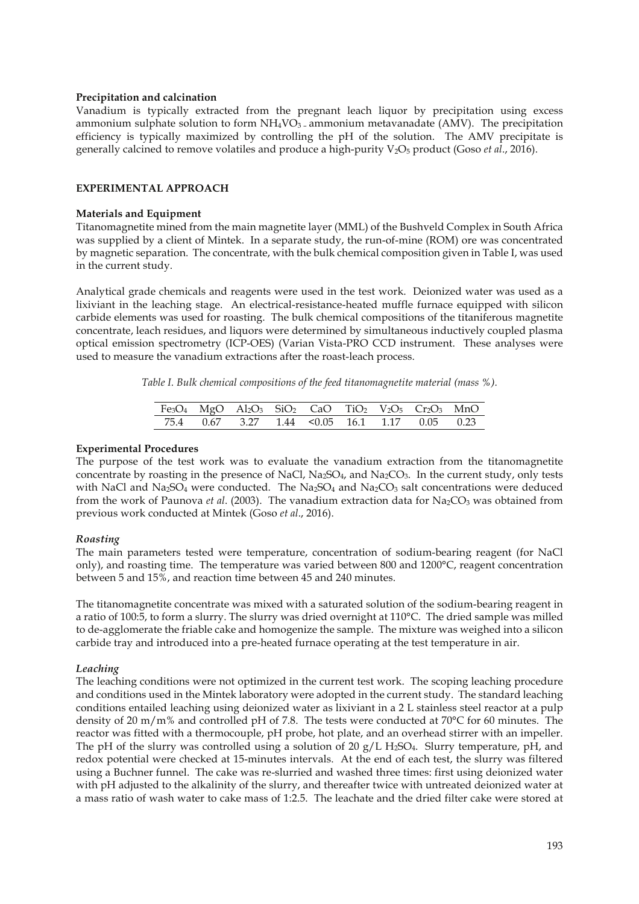#### **Precipitation and calcination**

Vanadium is typically extracted from the pregnant leach liquor by precipitation using excess ammonium sulphate solution to form  $NH<sub>4</sub>VO<sub>3</sub>$  – ammonium metavanadate (AMV). The precipitation efficiency is typically maximized by controlling the pH of the solution. The AMV precipitate is generally calcined to remove volatiles and produce a high-purity V2O5 product (Goso *et al*., 2016).

### **EXPERIMENTAL APPROACH**

#### **Materials and Equipment**

Titanomagnetite mined from the main magnetite layer (MML) of the Bushveld Complex in South Africa was supplied by a client of Mintek. In a separate study, the run-of-mine (ROM) ore was concentrated by magnetic separation. The concentrate, with the bulk chemical composition given in Table I, was used in the current study.

Analytical grade chemicals and reagents were used in the test work. Deionized water was used as a lixiviant in the leaching stage. An electrical-resistance-heated muffle furnace equipped with silicon carbide elements was used for roasting. The bulk chemical compositions of the titaniferous magnetite concentrate, leach residues, and liquors were determined by simultaneous inductively coupled plasma optical emission spectrometry (ICP-OES) (Varian Vista-PRO CCD instrument. These analyses were used to measure the vanadium extractions after the roast-leach process.

*Table I. Bulk chemical compositions of the feed titanomagnetite material (mass %).* 

|  | $Fe3O4$ MgO Al <sub>2</sub> O <sub>3</sub> SiO <sub>2</sub> CaO TiO <sub>2</sub> V <sub>2</sub> O <sub>5</sub> Cr <sub>2</sub> O <sub>3</sub> MnO |  |  |  |
|--|---------------------------------------------------------------------------------------------------------------------------------------------------|--|--|--|
|  | 75.4 0.67 3.27 1.44 < 0.05 16.1 1.17 0.05 0.23                                                                                                    |  |  |  |

### **Experimental Procedures**

The purpose of the test work was to evaluate the vanadium extraction from the titanomagnetite concentrate by roasting in the presence of NaCl, Na<sub>2</sub>SO<sub>4</sub>, and Na<sub>2</sub>CO<sub>3</sub>. In the current study, only tests with NaCl and Na<sub>2</sub>SO<sub>4</sub> were conducted. The Na<sub>2</sub>SO<sub>4</sub> and Na<sub>2</sub>CO<sub>3</sub> salt concentrations were deduced from the work of Paunova *et al.* (2003). The vanadium extraction data for Na<sub>2</sub>CO<sub>3</sub> was obtained from previous work conducted at Mintek (Goso *et al*., 2016).

#### *Roasting*

The main parameters tested were temperature, concentration of sodium-bearing reagent (for NaCl only), and roasting time. The temperature was varied between 800 and 1200°C, reagent concentration between 5 and 15%, and reaction time between 45 and 240 minutes.

The titanomagnetite concentrate was mixed with a saturated solution of the sodium-bearing reagent in a ratio of 100:5, to form a slurry. The slurry was dried overnight at 110°C. The dried sample was milled to de-agglomerate the friable cake and homogenize the sample. The mixture was weighed into a silicon carbide tray and introduced into a pre-heated furnace operating at the test temperature in air.

## *Leaching*

The leaching conditions were not optimized in the current test work. The scoping leaching procedure and conditions used in the Mintek laboratory were adopted in the current study. The standard leaching conditions entailed leaching using deionized water as lixiviant in a 2 L stainless steel reactor at a pulp density of 20 m/m% and controlled pH of 7.8. The tests were conducted at 70 $\degree$ C for 60 minutes. The reactor was fitted with a thermocouple, pH probe, hot plate, and an overhead stirrer with an impeller. The pH of the slurry was controlled using a solution of 20  $g/L$  H<sub>2</sub>SO<sub>4</sub>. Slurry temperature, pH, and redox potential were checked at 15-minutes intervals. At the end of each test, the slurry was filtered using a Buchner funnel. The cake was re-slurried and washed three times: first using deionized water with pH adjusted to the alkalinity of the slurry, and thereafter twice with untreated deionized water at a mass ratio of wash water to cake mass of 1:2.5. The leachate and the dried filter cake were stored at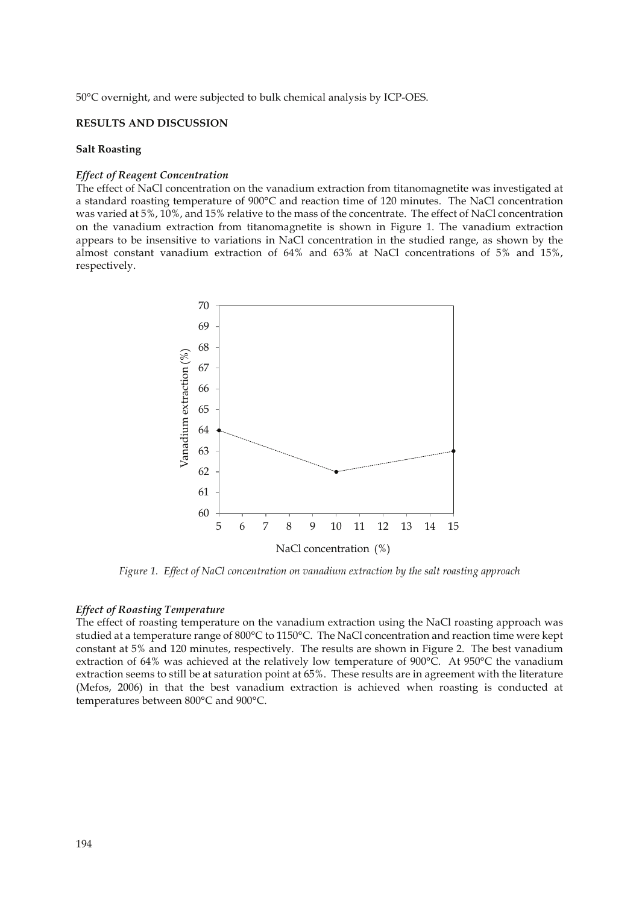50°C overnight, and were subjected to bulk chemical analysis by ICP-OES.

## **RESULTS AND DISCUSSION**

#### **Salt Roasting**

## *Effect of Reagent Concentration*

The effect of NaCl concentration on the vanadium extraction from titanomagnetite was investigated at a standard roasting temperature of 900°C and reaction time of 120 minutes. The NaCl concentration was varied at 5%, 10%, and 15% relative to the mass of the concentrate. The effect of NaCl concentration on the vanadium extraction from titanomagnetite is shown in Figure 1. The vanadium extraction appears to be insensitive to variations in NaCl concentration in the studied range, as shown by the almost constant vanadium extraction of 64% and 63% at NaCl concentrations of 5% and 15%, respectively.



*Figure 1. Effect of NaCl concentration on vanadium extraction by the salt roasting approach*

#### *Effect of Roasting Temperature*

The effect of roasting temperature on the vanadium extraction using the NaCl roasting approach was studied at a temperature range of 800°C to 1150°C. The NaCl concentration and reaction time were kept constant at 5% and 120 minutes, respectively. The results are shown in Figure 2. The best vanadium extraction of 64% was achieved at the relatively low temperature of 900°C. At 950°C the vanadium extraction seems to still be at saturation point at 65%. These results are in agreement with the literature (Mefos, 2006) in that the best vanadium extraction is achieved when roasting is conducted at temperatures between 800°C and 900°C.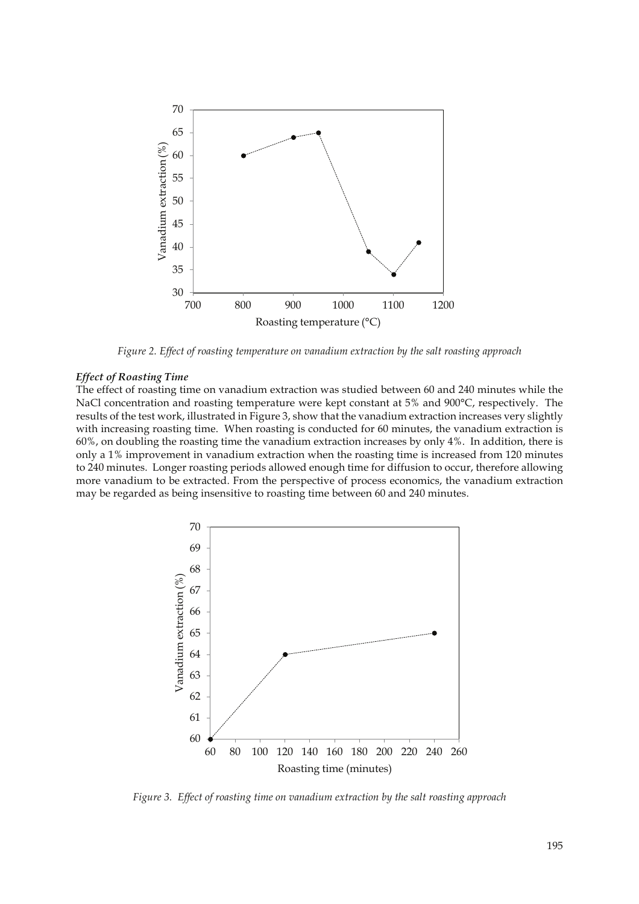

*Figure 2. Effect of roasting temperature on vanadium extraction by the salt roasting approach* 

#### *Effect of Roasting Time*

The effect of roasting time on vanadium extraction was studied between 60 and 240 minutes while the NaCl concentration and roasting temperature were kept constant at 5% and 900°C, respectively. The results of the test work, illustrated in Figure 3, show that the vanadium extraction increases very slightly with increasing roasting time. When roasting is conducted for 60 minutes, the vanadium extraction is 60%, on doubling the roasting time the vanadium extraction increases by only 4%. In addition, there is only a 1% improvement in vanadium extraction when the roasting time is increased from 120 minutes to 240 minutes. Longer roasting periods allowed enough time for diffusion to occur, therefore allowing more vanadium to be extracted. From the perspective of process economics, the vanadium extraction may be regarded as being insensitive to roasting time between 60 and 240 minutes.



*Figure 3. Effect of roasting time on vanadium extraction by the salt roasting approach*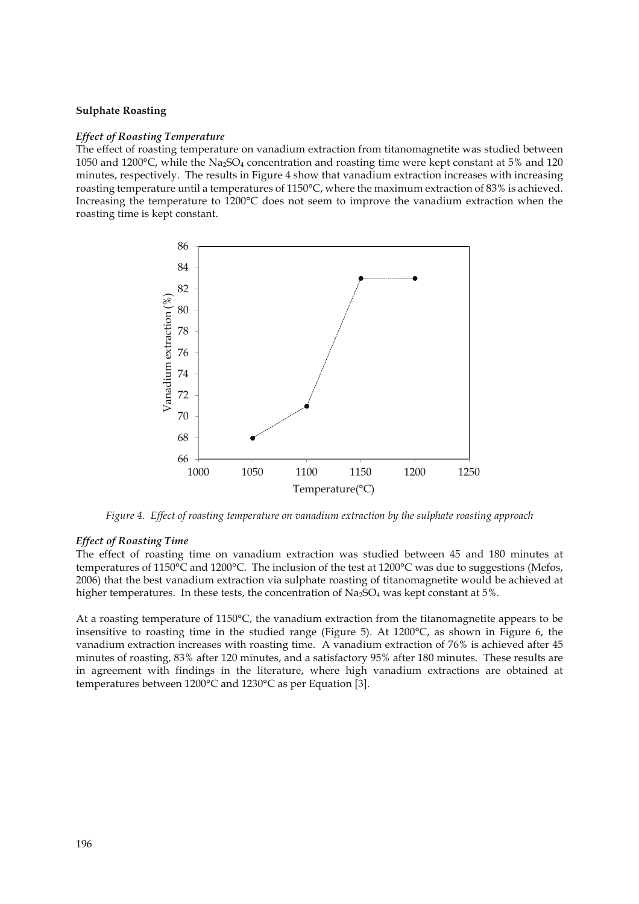#### **Sulphate Roasting**

#### *Effect of Roasting Temperature*

The effect of roasting temperature on vanadium extraction from titanomagnetite was studied between 1050 and 1200 $^{\circ}$ C, while the Na<sub>2</sub>SO<sub>4</sub> concentration and roasting time were kept constant at 5% and 120 minutes, respectively. The results in Figure 4 show that vanadium extraction increases with increasing roasting temperature until a temperatures of 1150°C, where the maximum extraction of 83% is achieved. Increasing the temperature to 1200°C does not seem to improve the vanadium extraction when the roasting time is kept constant.



*Figure 4. Effect of roasting temperature on vanadium extraction by the sulphate roasting approach* 

#### *Effect of Roasting Time*

The effect of roasting time on vanadium extraction was studied between 45 and 180 minutes at temperatures of 1150°C and 1200°C. The inclusion of the test at 1200°C was due to suggestions (Mefos, 2006) that the best vanadium extraction via sulphate roasting of titanomagnetite would be achieved at higher temperatures. In these tests, the concentration of  $Na<sub>2</sub>SO<sub>4</sub>$  was kept constant at 5%.

At a roasting temperature of 1150°C, the vanadium extraction from the titanomagnetite appears to be insensitive to roasting time in the studied range (Figure 5). At 1200°C, as shown in Figure 6, the vanadium extraction increases with roasting time. A vanadium extraction of 76% is achieved after 45 minutes of roasting, 83% after 120 minutes, and a satisfactory 95% after 180 minutes. These results are in agreement with findings in the literature, where high vanadium extractions are obtained at temperatures between 1200°C and 1230°C as per Equation [3].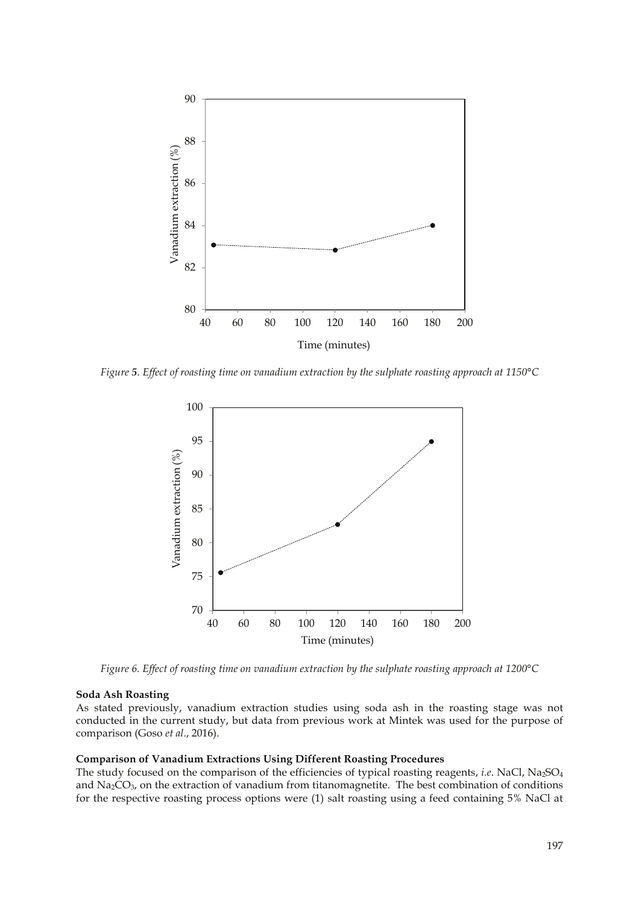

*Figure 5. Effect of roasting time on vanadium extraction by the sulphate roasting approach at 1150°C* 



*Figure 6. Effect of roasting time on vanadium extraction by the sulphate roasting approach at 1200°C* 

#### **Soda Ash Roasting**

As stated previously, vanadium extraction studies using soda ash in the roasting stage was not conducted in the current study, but data from previous work at Mintek was used for the purpose of comparison (Goso *et al*., 2016).

#### **Comparison of Vanadium Extractions Using Different Roasting Procedures**

The study focused on the comparison of the efficiencies of typical roasting reagents, *i.e*. NaCl, Na2SO4 and  $\text{Na}_2\text{CO}_3$ , on the extraction of vanadium from titanomagnetite. The best combination of conditions for the respective roasting process options were (1) salt roasting using a feed containing 5% NaCl at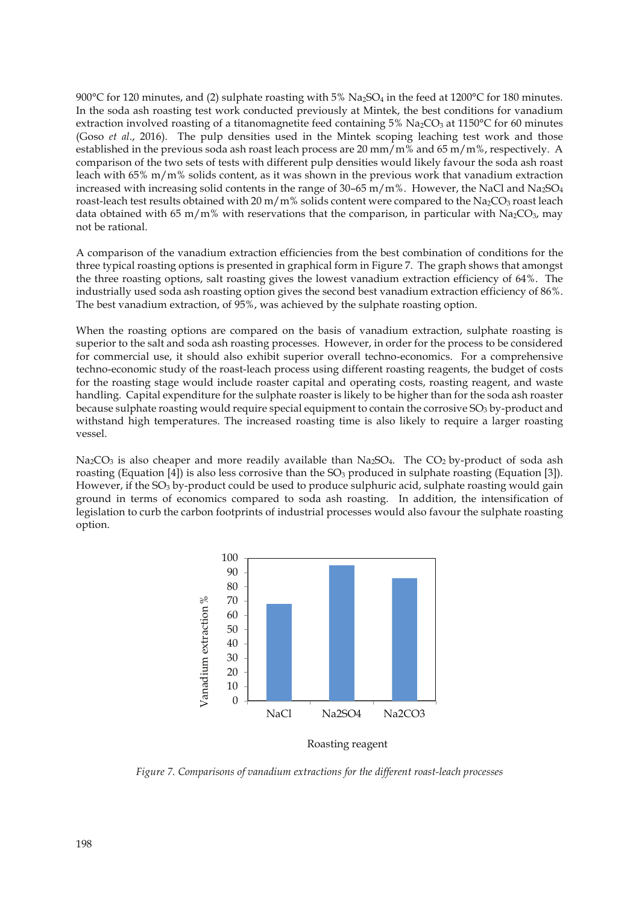900°C for 120 minutes, and (2) sulphate roasting with 5%  $Na_2SO_4$  in the feed at 1200°C for 180 minutes. In the soda ash roasting test work conducted previously at Mintek, the best conditions for vanadium extraction involved roasting of a titanomagnetite feed containing  $5\%$  Na<sub>2</sub>CO<sub>3</sub> at 1150°C for 60 minutes (Goso *et al*., 2016). The pulp densities used in the Mintek scoping leaching test work and those established in the previous soda ash roast leach process are 20 mm/m% and 65 m/m%, respectively. A comparison of the two sets of tests with different pulp densities would likely favour the soda ash roast leach with 65% m/m% solids content, as it was shown in the previous work that vanadium extraction increased with increasing solid contents in the range of  $30-65$  m/m%. However, the NaCl and Na<sub>2</sub>SO<sub>4</sub> roast-leach test results obtained with 20 m/m% solids content were compared to the Na<sub>2</sub>CO<sub>3</sub> roast leach data obtained with 65 m/m% with reservations that the comparison, in particular with  $Na_2CO_3$ , may not be rational.

A comparison of the vanadium extraction efficiencies from the best combination of conditions for the three typical roasting options is presented in graphical form in Figure 7. The graph shows that amongst the three roasting options, salt roasting gives the lowest vanadium extraction efficiency of 64%. The industrially used soda ash roasting option gives the second best vanadium extraction efficiency of 86%. The best vanadium extraction, of 95%, was achieved by the sulphate roasting option.

When the roasting options are compared on the basis of vanadium extraction, sulphate roasting is superior to the salt and soda ash roasting processes. However, in order for the process to be considered for commercial use, it should also exhibit superior overall techno-economics. For a comprehensive techno-economic study of the roast-leach process using different roasting reagents, the budget of costs for the roasting stage would include roaster capital and operating costs, roasting reagent, and waste handling. Capital expenditure for the sulphate roaster is likely to be higher than for the soda ash roaster because sulphate roasting would require special equipment to contain the corrosive  $SO<sub>3</sub>$  by-product and withstand high temperatures. The increased roasting time is also likely to require a larger roasting vessel.

Na<sub>2</sub>CO<sub>3</sub> is also cheaper and more readily available than Na<sub>2</sub>SO<sub>4</sub>. The CO<sub>2</sub> by-product of soda ash roasting (Equation [4]) is also less corrosive than the  $SO<sub>3</sub>$  produced in sulphate roasting (Equation [3]). However, if the SO<sub>3</sub> by-product could be used to produce sulphuric acid, sulphate roasting would gain ground in terms of economics compared to soda ash roasting. In addition, the intensification of legislation to curb the carbon footprints of industrial processes would also favour the sulphate roasting option.



Roasting reagent

*Figure 7. Comparisons of vanadium extractions for the different roast-leach processes*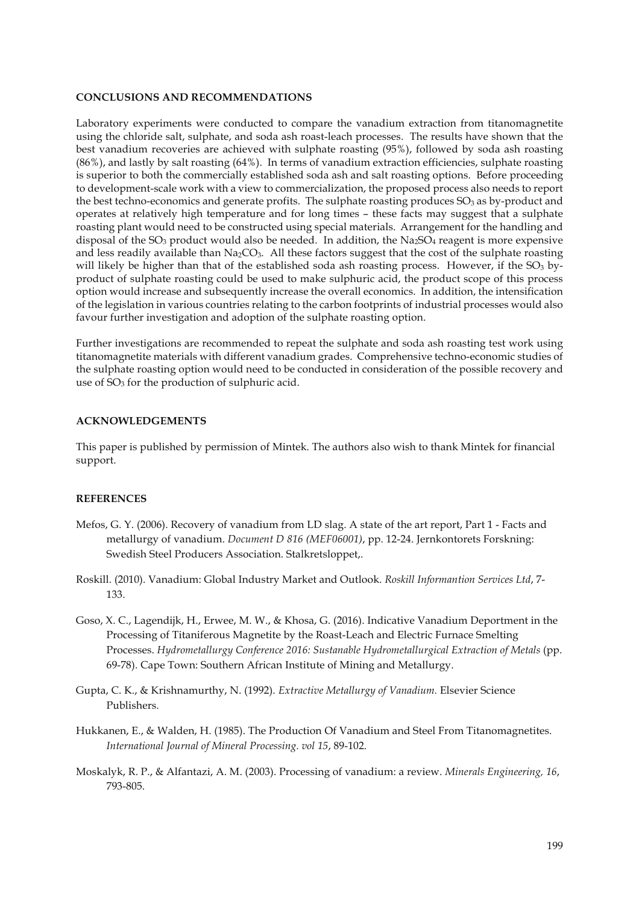#### **CONCLUSIONS AND RECOMMENDATIONS**

Laboratory experiments were conducted to compare the vanadium extraction from titanomagnetite using the chloride salt, sulphate, and soda ash roast-leach processes. The results have shown that the best vanadium recoveries are achieved with sulphate roasting (95%), followed by soda ash roasting (86%), and lastly by salt roasting (64%). In terms of vanadium extraction efficiencies, sulphate roasting is superior to both the commercially established soda ash and salt roasting options. Before proceeding to development-scale work with a view to commercialization, the proposed process also needs to report the best techno-economics and generate profits. The sulphate roasting produces  $SO<sub>3</sub>$  as by-product and operates at relatively high temperature and for long times – these facts may suggest that a sulphate roasting plant would need to be constructed using special materials. Arrangement for the handling and disposal of the SO<sub>3</sub> product would also be needed. In addition, the Na<sub>2</sub>SO<sub>4</sub> reagent is more expensive and less readily available than  $Na<sub>2</sub>CO<sub>3</sub>$ . All these factors suggest that the cost of the sulphate roasting will likely be higher than that of the established soda ash roasting process. However, if the  $SO<sub>3</sub>$  byproduct of sulphate roasting could be used to make sulphuric acid, the product scope of this process option would increase and subsequently increase the overall economics. In addition, the intensification of the legislation in various countries relating to the carbon footprints of industrial processes would also favour further investigation and adoption of the sulphate roasting option.

Further investigations are recommended to repeat the sulphate and soda ash roasting test work using titanomagnetite materials with different vanadium grades. Comprehensive techno-economic studies of the sulphate roasting option would need to be conducted in consideration of the possible recovery and use of  $SO<sub>3</sub>$  for the production of sulphuric acid.

#### **ACKNOWLEDGEMENTS**

This paper is published by permission of Mintek. The authors also wish to thank Mintek for financial support.

## **REFERENCES**

- Mefos, G. Y. (2006). Recovery of vanadium from LD slag. A state of the art report, Part 1 Facts and metallurgy of vanadium. *Document D 816 (MEF06001)*, pp. 12-24. Jernkontorets Forskning: Swedish Steel Producers Association. Stalkretsloppet,.
- Roskill. (2010). Vanadium: Global Industry Market and Outlook. *Roskill Informantion Services Ltd*, 7- 133.
- Goso, X. C., Lagendijk, H., Erwee, M. W., & Khosa, G. (2016). Indicative Vanadium Deportment in the Processing of Titaniferous Magnetite by the Roast-Leach and Electric Furnace Smelting Processes. *Hydrometallurgy Conference 2016: Sustanable Hydrometallurgical Extraction of Metals* (pp. 69-78). Cape Town: Southern African Institute of Mining and Metallurgy.
- Gupta, C. K., & Krishnamurthy, N. (1992). *Extractive Metallurgy of Vanadium.* Elsevier Science Publishers.
- Hukkanen, E., & Walden, H. (1985). The Production Of Vanadium and Steel From Titanomagnetites. *International Journal of Mineral Processing. vol 15*, 89-102.
- Moskalyk, R. P., & Alfantazi, A. M. (2003). Processing of vanadium: a review. *Minerals Engineering, 16*, 793-805.